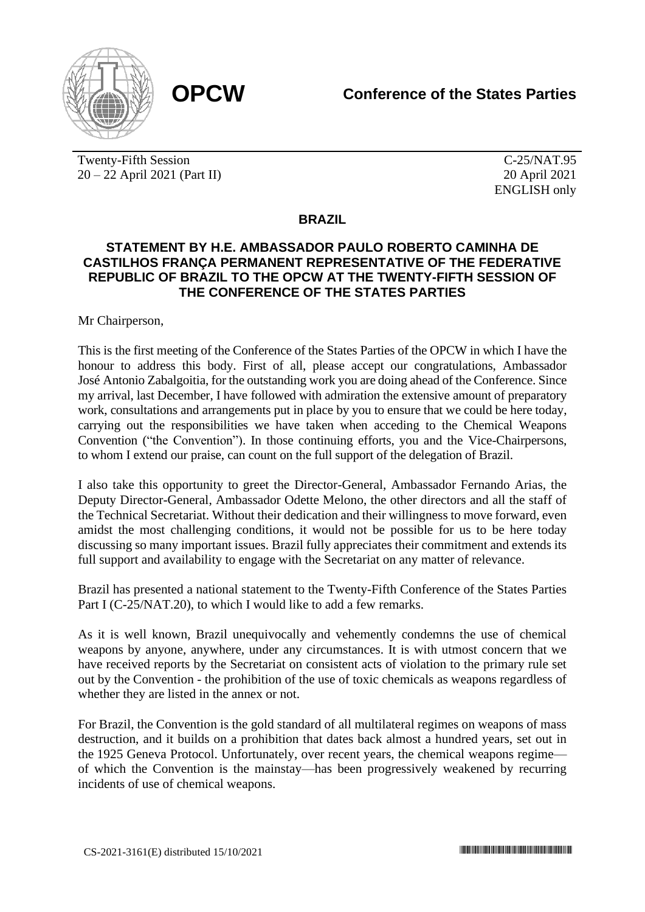

Twenty-Fifth Session 20 – 22 April 2021 (Part II)

C-25/NAT.95 20 April 2021 ENGLISH only

## **BRAZIL**

## **STATEMENT BY H.E. AMBASSADOR PAULO ROBERTO CAMINHA DE CASTILHOS FRANÇA PERMANENT REPRESENTATIVE OF THE FEDERATIVE REPUBLIC OF BRAZIL TO THE OPCW AT THE TWENTY-FIFTH SESSION OF THE CONFERENCE OF THE STATES PARTIES**

Mr Chairperson,

This is the first meeting of the Conference of the States Parties of the OPCW in which I have the honour to address this body. First of all, please accept our congratulations, Ambassador José Antonio Zabalgoitia, for the outstanding work you are doing ahead of the Conference. Since my arrival, last December, I have followed with admiration the extensive amount of preparatory work, consultations and arrangements put in place by you to ensure that we could be here today, carrying out the responsibilities we have taken when acceding to the Chemical Weapons Convention ("the Convention"). In those continuing efforts, you and the Vice-Chairpersons, to whom I extend our praise, can count on the full support of the delegation of Brazil.

I also take this opportunity to greet the Director-General, Ambassador Fernando Arias, the Deputy Director-General, Ambassador Odette Melono, the other directors and all the staff of the Technical Secretariat. Without their dedication and their willingness to move forward, even amidst the most challenging conditions, it would not be possible for us to be here today discussing so many important issues. Brazil fully appreciates their commitment and extends its full support and availability to engage with the Secretariat on any matter of relevance.

Brazil has presented a national statement to the Twenty-Fifth Conference of the States Parties Part I (C-25/NAT.20), to which I would like to add a few remarks.

As it is well known, Brazil unequivocally and vehemently condemns the use of chemical weapons by anyone, anywhere, under any circumstances. It is with utmost concern that we have received reports by the Secretariat on consistent acts of violation to the primary rule set out by the Convention - the prohibition of the use of toxic chemicals as weapons regardless of whether they are listed in the annex or not.

For Brazil, the Convention is the gold standard of all multilateral regimes on weapons of mass destruction, and it builds on a prohibition that dates back almost a hundred years, set out in the 1925 Geneva Protocol. Unfortunately, over recent years, the chemical weapons regime of which the Convention is the mainstay—has been progressively weakened by recurring incidents of use of chemical weapons.